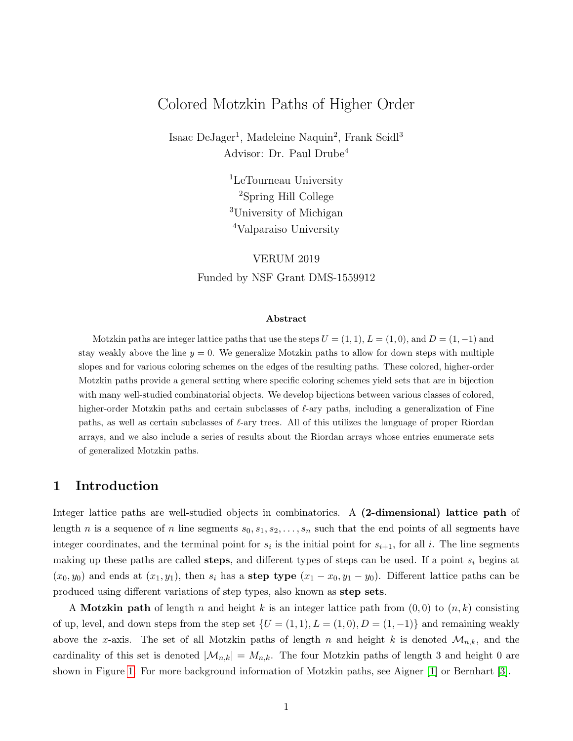# Colored Motzkin Paths of Higher Order

Isaac DeJager<sup>1</sup>, Madeleine Naquin<sup>2</sup>, Frank Seidl<sup>3</sup> Advisor: Dr. Paul Drube<sup>4</sup>

> <sup>1</sup>LeTourneau University <sup>2</sup>Spring Hill College <sup>3</sup>University of Michigan <sup>4</sup>Valparaiso University

VERUM 2019 Funded by NSF Grant DMS-1559912

#### Abstract

Motzkin paths are integer lattice paths that use the steps  $U = (1, 1), L = (1, 0)$ , and  $D = (1, -1)$  and stay weakly above the line  $y = 0$ . We generalize Motzkin paths to allow for down steps with multiple slopes and for various coloring schemes on the edges of the resulting paths. These colored, higher-order Motzkin paths provide a general setting where specific coloring schemes yield sets that are in bijection with many well-studied combinatorial objects. We develop bijections between various classes of colored, higher-order Motzkin paths and certain subclasses of  $\ell$ -ary paths, including a generalization of Fine paths, as well as certain subclasses of  $\ell$ -ary trees. All of this utilizes the language of proper Riordan arrays, and we also include a series of results about the Riordan arrays whose entries enumerate sets of generalized Motzkin paths.

## 1 Introduction

Integer lattice paths are well-studied objects in combinatorics. A (2-dimensional) lattice path of length n is a sequence of n line segments  $s_0, s_1, s_2, \ldots, s_n$  such that the end points of all segments have integer coordinates, and the terminal point for  $s_i$  is the initial point for  $s_{i+1}$ , for all i. The line segments making up these paths are called **steps**, and different types of steps can be used. If a point  $s_i$  begins at  $(x_0, y_0)$  and ends at  $(x_1, y_1)$ , then  $s_i$  has a step type  $(x_1 - x_0, y_1 - y_0)$ . Different lattice paths can be produced using different variations of step types, also known as step sets.

A Motzkin path of length n and height k is an integer lattice path from  $(0,0)$  to  $(n,k)$  consisting of up, level, and down steps from the step set  $\{U = (1, 1), L = (1, 0), D = (1, -1)\}\$  and remaining weakly above the x-axis. The set of all Motzkin paths of length n and height k is denoted  $\mathcal{M}_{n,k}$ , and the cardinality of this set is denoted  $|\mathcal{M}_{n,k}| = M_{n,k}$ . The four Motzkin paths of length 3 and height 0 are shown in Figure [1.](#page-1-0) For more background information of Motzkin paths, see Aigner [\[1\]](#page-18-0) or Bernhart [\[3\]](#page-18-1).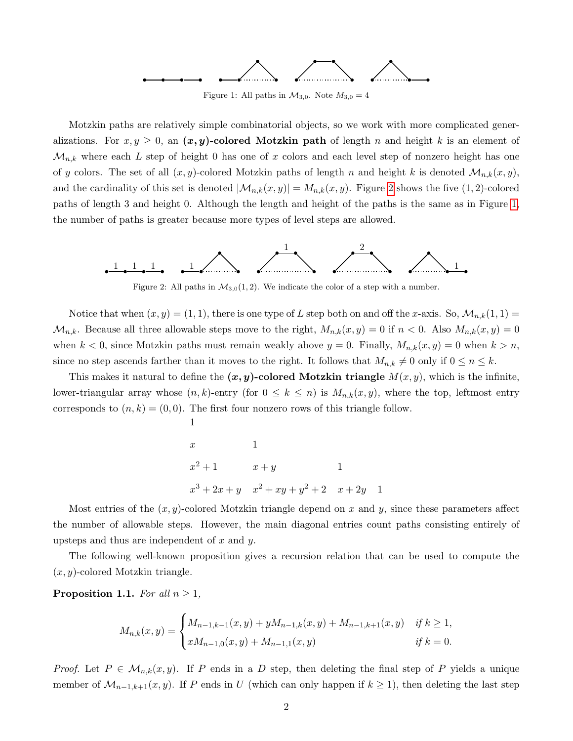

Figure 1: All paths in  $\mathcal{M}_{3,0}$ . Note  $M_{3,0} = 4$ 

<span id="page-1-0"></span>Motzkin paths are relatively simple combinatorial objects, so we work with more complicated generalizations. For  $x, y \geq 0$ , an  $(x, y)$ -colored Motzkin path of length n and height k is an element of  $\mathcal{M}_{n,k}$  where each L step of height 0 has one of x colors and each level step of nonzero height has one of y colors. The set of all  $(x, y)$ -colored Motzkin paths of length n and height k is denoted  $\mathcal{M}_{n,k}(x, y)$ , and the cardinality of this set is denoted  $|\mathcal{M}_{n,k}(x,y)| = M_{n,k}(x,y)$ . Figure [2](#page-1-1) shows the five (1, 2)-colored paths of length 3 and height 0. Although the length and height of the paths is the same as in Figure [1,](#page-1-0) the number of paths is greater because more types of level steps are allowed.

<span id="page-1-1"></span>

Figure 2: All paths in  $\mathcal{M}_{3,0}(1,2)$ . We indicate the color of a step with a number.

Notice that when  $(x, y) = (1, 1)$ , there is one type of L step both on and off the x-axis. So,  $\mathcal{M}_{n,k}(1,1)$  $\mathcal{M}_{n,k}$ . Because all three allowable steps move to the right,  $M_{n,k}(x,y) = 0$  if  $n < 0$ . Also  $M_{n,k}(x,y) = 0$ when  $k < 0$ , since Motzkin paths must remain weakly above  $y = 0$ . Finally,  $M_{n,k}(x, y) = 0$  when  $k > n$ , since no step ascends farther than it moves to the right. It follows that  $M_{n,k} \neq 0$  only if  $0 \leq n \leq k$ .

This makes it natural to define the  $(x, y)$ -colored Motzkin triangle  $M(x, y)$ , which is the infinite, lower-triangular array whose  $(n, k)$ -entry (for  $0 \le k \le n$ ) is  $M_{n,k}(x, y)$ , where the top, leftmost entry corresponds to  $(n, k) = (0, 0)$ . The first four nonzero rows of this triangle follow.

$$
x = 1
$$
  

$$
x^{2} + 1 = x + y = 1
$$
  

$$
x^{3} + 2x + y = x^{2} + xy + y^{2} + 2 = x + 2y = 1
$$

1

Most entries of the  $(x, y)$ -colored Motzkin triangle depend on x and y, since these parameters affect the number of allowable steps. However, the main diagonal entries count paths consisting entirely of upsteps and thus are independent of  $x$  and  $y$ .

The following well-known proposition gives a recursion relation that can be used to compute the  $(x, y)$ -colored Motzkin triangle.

<span id="page-1-2"></span>**Proposition 1.1.** For all  $n \geq 1$ ,

$$
M_{n,k}(x,y) = \begin{cases} M_{n-1,k-1}(x,y) + yM_{n-1,k}(x,y) + M_{n-1,k+1}(x,y) & \text{if } k \ge 1, \\ xM_{n-1,0}(x,y) + M_{n-1,1}(x,y) & \text{if } k = 0. \end{cases}
$$

*Proof.* Let  $P \in M_{n,k}(x,y)$ . If P ends in a D step, then deleting the final step of P yields a unique member of  $\mathcal{M}_{n-1,k+1}(x, y)$ . If P ends in U (which can only happen if  $k \ge 1$ ), then deleting the last step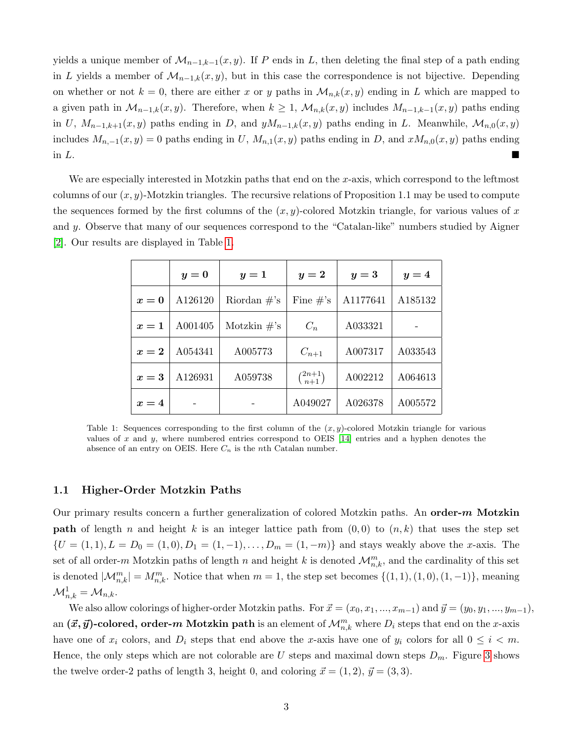yields a unique member of  $\mathcal{M}_{n-1,k-1}(x,y)$ . If P ends in L, then deleting the final step of a path ending in L yields a member of  $\mathcal{M}_{n-1,k}(x, y)$ , but in this case the correspondence is not bijective. Depending on whether or not  $k = 0$ , there are either x or y paths in  $\mathcal{M}_{n,k}(x, y)$  ending in L which are mapped to a given path in  $\mathcal{M}_{n-1,k}(x, y)$ . Therefore, when  $k \geq 1$ ,  $\mathcal{M}_{n,k}(x, y)$  includes  $M_{n-1,k-1}(x, y)$  paths ending in U,  $M_{n-1,k+1}(x, y)$  paths ending in D, and  $yM_{n-1,k}(x, y)$  paths ending in L. Meanwhile,  $\mathcal{M}_{n,0}(x, y)$ includes  $M_{n,-1}(x,y) = 0$  paths ending in U,  $M_{n,1}(x,y)$  paths ending in D, and  $xM_{n,0}(x,y)$  paths ending in  $L$ .

We are especially interested in Motzkin paths that end on the  $x$ -axis, which correspond to the leftmost columns of our  $(x, y)$ -Motzkin triangles. The recursive relations of Proposition 1.1 may be used to compute the sequences formed by the first columns of the  $(x, y)$ -colored Motzkin triangle, for various values of x and y. Observe that many of our sequences correspond to the "Catalan-like" numbers studied by Aigner [\[2\]](#page-18-2). Our results are displayed in Table [1.](#page-2-0)

<span id="page-2-0"></span>

|       | $y=0$<br>$y=1$ |                 | $y=2$               | $y=3$    | $y=4$   |
|-------|----------------|-----------------|---------------------|----------|---------|
| $x=0$ | A126120        | Riordan $\#$ 's | Fine $\#$ 's        | A1177641 | A185132 |
| $x=1$ | A001405        | Motzkin $\#$ 's | $C_n$               | A033321  |         |
| $x=2$ | A054341        | A005773         | $C_{n+1}$           | A007317  | A033543 |
| $x=3$ | A126931        | A059738         | $\binom{2n+1}{n+1}$ | A002212  | A064613 |
| $x=4$ |                |                 | A049027             | A026378  | A005572 |

Table 1: Sequences corresponding to the first column of the  $(x, y)$ -colored Motzkin triangle for various values of x and y, where numbered entries correspond to OEIS [\[14\]](#page-18-3) entries and a hyphen denotes the absence of an entry on OEIS. Here  $C_n$  is the nth Catalan number.

### 1.1 Higher-Order Motzkin Paths

Our primary results concern a further generalization of colored Motzkin paths. An order- $m$  Motzkin **path** of length n and height k is an integer lattice path from  $(0, 0)$  to  $(n, k)$  that uses the step set  ${U = (1, 1), L = D_0 = (1, 0), D_1 = (1, -1), \ldots, D_m = (1, -m)}$  and stays weakly above the x-axis. The set of all order-m Motzkin paths of length n and height k is denoted  $\mathcal{M}_{n,k}^m$ , and the cardinality of this set is denoted  $|\mathcal{M}_{n,k}^m| = M_{n,k}^m$ . Notice that when  $m = 1$ , the step set becomes  $\{(1, 1), (1, 0), (1, -1)\}$ , meaning  $\mathcal{M}_{n,k}^1 = \mathcal{M}_{n,k}.$ 

We also allow colorings of higher-order Motzkin paths. For  $\vec{x} = (x_0, x_1, ..., x_{m-1})$  and  $\vec{y} = (y_0, y_1, ..., y_{m-1}),$ an  $(\vec{x}, \vec{y})$ -colored, order- $m$  Motzkin path is an element of  $\mathcal{M}^m_{n,k}$  where  $D_i$  steps that end on the  $x$ -axis have one of  $x_i$  colors, and  $D_i$  steps that end above the x-axis have one of  $y_i$  colors for all  $0 \le i \le m$ . Hence, the only steps which are not colorable are U steps and maximal down steps  $D_m$ . Figure [3](#page-3-0) shows the twelve order-2 paths of length 3, height 0, and coloring  $\vec{x} = (1, 2), \vec{y} = (3, 3).$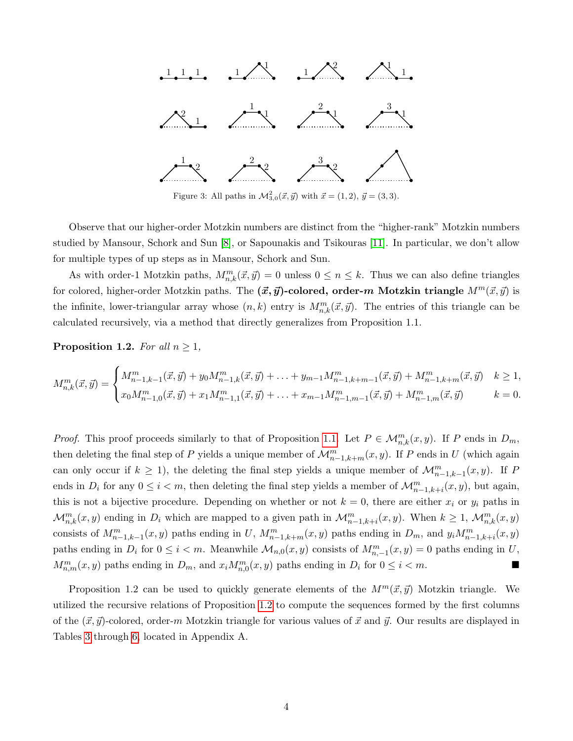<span id="page-3-0"></span>

Figure 3: All paths in  $\mathcal{M}_{3,0}^2(\vec{x}, \vec{y})$  with  $\vec{x} = (1, 2), \vec{y} = (3, 3)$ .

Observe that our higher-order Motzkin numbers are distinct from the "higher-rank" Motzkin numbers studied by Mansour, Schork and Sun [\[8\]](#page-18-4), or Sapounakis and Tsikouras [\[11\]](#page-18-5). In particular, we don't allow for multiple types of up steps as in Mansour, Schork and Sun.

As with order-1 Motzkin paths,  $M_{n,k}^m(\vec{x}, \vec{y}) = 0$  unless  $0 \le n \le k$ . Thus we can also define triangles for colored, higher-order Motzkin paths. The  $(\vec{x}, \vec{y})$ -colored, order-m Motzkin triangle  $M^m(\vec{x}, \vec{y})$  is the infinite, lower-triangular array whose  $(n, k)$  entry is  $M_{n,k}^m(\vec{x}, \vec{y})$ . The entries of this triangle can be calculated recursively, via a method that directly generalizes from Proposition 1.1.

<span id="page-3-1"></span>**Proposition 1.2.** For all  $n \geq 1$ ,

$$
M_{n,k}^m(\vec{x}, \vec{y}) = \begin{cases} M_{n-1,k-1}^m(\vec{x}, \vec{y}) + y_0 M_{n-1,k}^m(\vec{x}, \vec{y}) + \ldots + y_{m-1} M_{n-1,k+m-1}^m(\vec{x}, \vec{y}) + M_{n-1,k+m}^m(\vec{x}, \vec{y}) & k \ge 1, \\ x_0 M_{n-1,0}^m(\vec{x}, \vec{y}) + x_1 M_{n-1,1}^m(\vec{x}, \vec{y}) + \ldots + x_{m-1} M_{n-1,m-1}^m(\vec{x}, \vec{y}) + M_{n-1,m}^m(\vec{x}, \vec{y}) & k = 0. \end{cases}
$$

*Proof.* This proof proceeds similarly to that of Proposition [1.1.](#page-1-2) Let  $P \in \mathcal{M}_{n,k}^m(x, y)$ . If P ends in  $D_m$ , then deleting the final step of P yields a unique member of  $\mathcal{M}_{n-1,k+m}^m(x, y)$ . If P ends in U (which again can only occur if  $k \geq 1$ , the deleting the final step yields a unique member of  $\mathcal{M}_{n-1,k-1}^m(x,y)$ . If P ends in  $D_i$  for any  $0 \le i < m$ , then deleting the final step yields a member of  $\mathcal{M}_{n-1,k+i}^m(x, y)$ , but again, this is not a bijective procedure. Depending on whether or not  $k = 0$ , there are either  $x_i$  or  $y_i$  paths in  $\mathcal{M}_{n,k}^m(x,y)$  ending in  $D_i$  which are mapped to a given path in  $\mathcal{M}_{n-1,k+i}^m(x,y)$ . When  $k \geq 1$ ,  $\mathcal{M}_{n,k}^m(x,y)$ consists of  $M_{n-1,k-1}^m(x,y)$  paths ending in U,  $M_{n-1,k+m}^m(x,y)$  paths ending in  $D_m$ , and  $y_iM_{n-1,k+i}^m(x,y)$ paths ending in  $D_i$  for  $0 \le i < m$ . Meanwhile  $\mathcal{M}_{n,0}(x,y)$  consists of  $M_{n,-1}^m(x,y) = 0$  paths ending in U,  $M_{n,m}^m(x, y)$  paths ending in  $D_m$ , and  $x_i M_{n,0}^m(x, y)$  paths ending in  $D_i$  for  $0 \le i < m$ .

Proposition 1.2 can be used to quickly generate elements of the  $M^m(\vec{x}, \vec{y})$  Motzkin triangle. We utilized the recursive relations of Proposition [1.2](#page-3-1) to compute the sequences formed by the first columns of the  $(\vec{x}, \vec{y})$ -colored, order-m Motzkin triangle for various values of  $\vec{x}$  and  $\vec{y}$ . Our results are displayed in Tables [3](#page-19-0) through [6,](#page-20-0) located in Appendix A.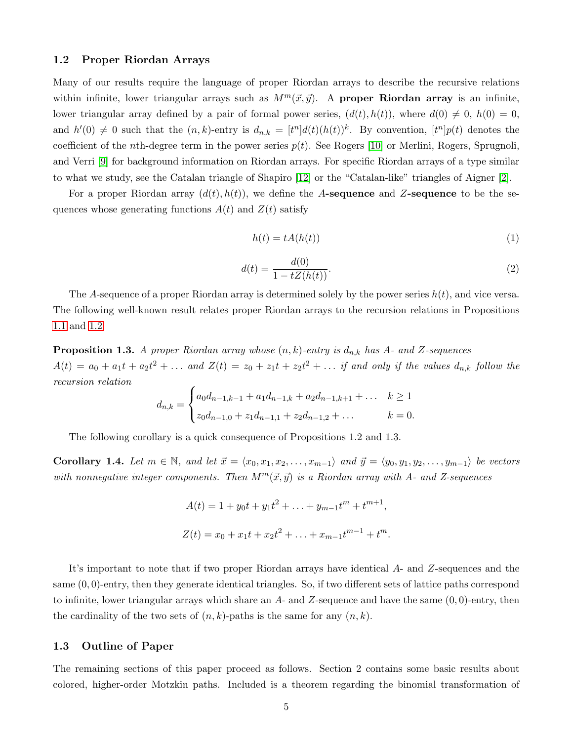### 1.2 Proper Riordan Arrays

Many of our results require the language of proper Riordan arrays to describe the recursive relations within infinite, lower triangular arrays such as  $M^m(\vec{x}, \vec{y})$ . A proper Riordan array is an infinite, lower triangular array defined by a pair of formal power series,  $(d(t), h(t))$ , where  $d(0) \neq 0$ ,  $h(0) = 0$ , and  $h'(0) \neq 0$  such that the  $(n, k)$ -entry is  $d_{n,k} = [t^n]d(t)(h(t))^k$ . By convention,  $[t^n]p(t)$  denotes the coefficient of the nth-degree term in the power series  $p(t)$ . See Rogers [\[10\]](#page-18-6) or Merlini, Rogers, Sprugnoli, and Verri [\[9\]](#page-18-7) for background information on Riordan arrays. For specific Riordan arrays of a type similar to what we study, see the Catalan triangle of Shapiro [\[12\]](#page-18-8) or the "Catalan-like" triangles of Aigner [\[2\]](#page-18-2).

For a proper Riordan array  $(d(t), h(t))$ , we define the A-sequence and Z-sequence to be the sequences whose generating functions  $A(t)$  and  $Z(t)$  satisfy

<span id="page-4-1"></span>
$$
h(t) = tA(h(t))
$$
\n<sup>(1)</sup>

<span id="page-4-2"></span>
$$
d(t) = \frac{d(0)}{1 - tZ(h(t))}.
$$
 (2)

The A-sequence of a proper Riordan array is determined solely by the power series  $h(t)$ , and vice versa. The following well-known result relates proper Riordan arrays to the recursion relations in Propositions [1.1](#page-1-2) and [1.2.](#page-3-1)

**Proposition 1.3.** A proper Riordan array whose  $(n, k)$ -entry is  $d_{n,k}$  has A- and Z-sequences  $A(t) = a_0 + a_1t + a_2t^2 + \ldots$  and  $Z(t) = z_0 + z_1t + z_2t^2 + \ldots$  if and only if the values  $d_{n,k}$  follow the recursion relation

$$
d_{n,k} = \begin{cases} a_0 d_{n-1,k-1} + a_1 d_{n-1,k} + a_2 d_{n-1,k+1} + \dots & k \ge 1 \\ z_0 d_{n-1,0} + z_1 d_{n-1,1} + z_2 d_{n-1,2} + \dots & k = 0. \end{cases}
$$

The following corollary is a quick consequence of Propositions 1.2 and 1.3.

<span id="page-4-0"></span>Corollary 1.4. Let  $m \in \mathbb{N}$ , and let  $\vec{x} = \langle x_0, x_1, x_2, \ldots, x_{m-1} \rangle$  and  $\vec{y} = \langle y_0, y_1, y_2, \ldots, y_{m-1} \rangle$  be vectors with nonnegative integer components. Then  $M^m(\vec{x}, \vec{y})$  is a Riordan array with A- and Z-sequences

$$
A(t) = 1 + y_0 t + y_1 t^2 + \dots + y_{m-1} t^m + t^{m+1},
$$
  
\n
$$
Z(t) = x_0 + x_1 t + x_2 t^2 + \dots + x_{m-1} t^{m-1} + t^m.
$$

It's important to note that if two proper Riordan arrays have identical A- and Z-sequences and the same  $(0, 0)$ -entry, then they generate identical triangles. So, if two different sets of lattice paths correspond to infinite, lower triangular arrays which share an  $A$ - and  $Z$ -sequence and have the same  $(0, 0)$ -entry, then the cardinality of the two sets of  $(n, k)$ -paths is the same for any  $(n, k)$ .

### 1.3 Outline of Paper

The remaining sections of this paper proceed as follows. Section 2 contains some basic results about colored, higher-order Motzkin paths. Included is a theorem regarding the binomial transformation of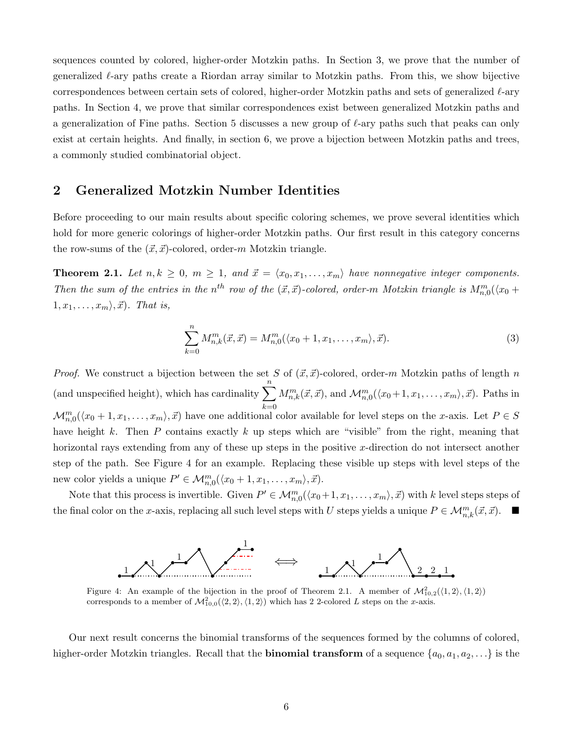sequences counted by colored, higher-order Motzkin paths. In Section 3, we prove that the number of generalized  $\ell$ -ary paths create a Riordan array similar to Motzkin paths. From this, we show bijective correspondences between certain sets of colored, higher-order Motzkin paths and sets of generalized  $\ell$ -ary paths. In Section 4, we prove that similar correspondences exist between generalized Motzkin paths and a generalization of Fine paths. Section 5 discusses a new group of  $\ell$ -ary paths such that peaks can only exist at certain heights. And finally, in section 6, we prove a bijection between Motzkin paths and trees, a commonly studied combinatorial object.

## 2 Generalized Motzkin Number Identities

Before proceeding to our main results about specific coloring schemes, we prove several identities which hold for more generic colorings of higher-order Motzkin paths. Our first result in this category concerns the row-sums of the  $(\vec{x}, \vec{x})$ -colored, order-m Motzkin triangle.

**Theorem 2.1.** Let  $n, k \geq 0, m \geq 1, and \ \vec{x} = \langle x_0, x_1, \ldots, x_m \rangle$  have nonnegative integer components. Then the sum of the entries in the n<sup>th</sup> row of the  $(\vec{x}, \vec{x})$ -colored, order-m Motzkin triangle is  $M_{n,0}^m(\langle x_0 +$  $1, x_1, \ldots, x_m \rangle, \vec{x}$ . That is,

$$
\sum_{k=0}^{n} M_{n,k}^{m}(\vec{x}, \vec{x}) = M_{n,0}^{m}(\langle x_0 + 1, x_1, \dots, x_m \rangle, \vec{x}).
$$
\n(3)

*Proof.* We construct a bijection between the set S of  $(\vec{x}, \vec{x})$ -colored, order-m Motzkin paths of length n (and unspecified height), which has cardinality  $\sum_{n=1}^n$  $_{k=0}$  $M_{n,k}^m(\vec{x}, \vec{x})$ , and  $\mathcal{M}_{n,0}^m(\langle x_0+1, x_1,\ldots,x_m\rangle, \vec{x})$ . Paths in  $\mathcal{M}_{n,0}^m(\langle x_0+1,x_1,\ldots,x_m\rangle,\vec{x})$  have one additional color available for level steps on the x-axis. Let  $P \in S$ have height k. Then P contains exactly k up steps which are "visible" from the right, meaning that horizontal rays extending from any of these up steps in the positive x-direction do not intersect another step of the path. See Figure 4 for an example. Replacing these visible up steps with level steps of the new color yields a unique  $P' \in \mathcal{M}_{n,0}^m(\langle x_0+1, x_1, \ldots, x_m \rangle, \vec{x}).$ 

Note that this process is invertible. Given  $P' \in \mathcal{M}_{n,0}^m(\langle x_0+1, x_1,\ldots,x_m\rangle,\vec{x})$  with k level steps steps of the final color on the x-axis, replacing all such level steps with U steps yields a unique  $P \in \mathcal{M}_{n,k}^m(\vec{x}, \vec{x})$ .



Figure 4: An example of the bijection in the proof of Theorem 2.1. A member of  $\mathcal{M}_{10,2}^2(\langle 1,2\rangle,\langle 1,2\rangle)$ corresponds to a member of  $\mathcal{M}_{10,0}^2(\langle 2,2\rangle,\langle 1,2\rangle)$  which has 2 2-colored L steps on the x-axis.

Our next result concerns the binomial transforms of the sequences formed by the columns of colored, higher-order Motzkin triangles. Recall that the **binomial transform** of a sequence  $\{a_0, a_1, a_2, \ldots\}$  is the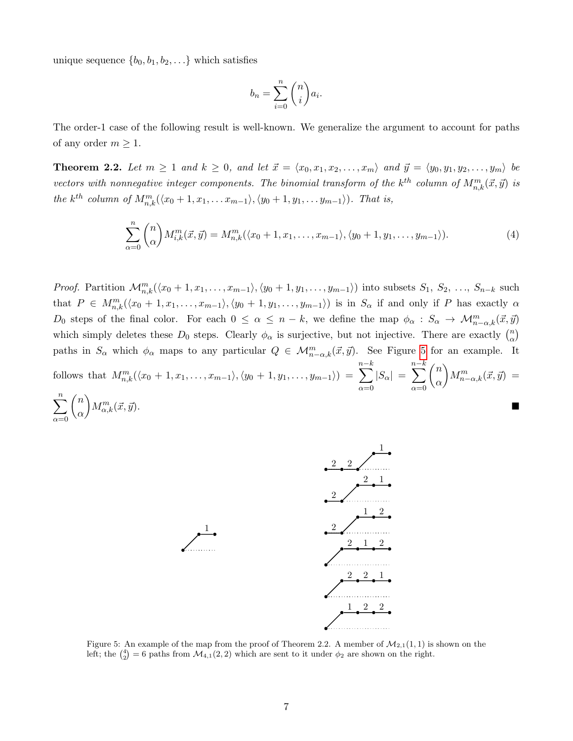unique sequence  $\{b_0, b_1, b_2, \ldots\}$  which satisfies

$$
b_n = \sum_{i=0}^n \binom{n}{i} a_i.
$$

The order-1 case of the following result is well-known. We generalize the argument to account for paths of any order  $m \geq 1$ .

**Theorem 2.2.** Let  $m \geq 1$  and  $k \geq 0$ , and let  $\vec{x} = \langle x_0, x_1, x_2, \ldots, x_m \rangle$  and  $\vec{y} = \langle y_0, y_1, y_2, \ldots, y_m \rangle$  be vectors with nonnegative integer components. The binomial transform of the  $k^{th}$  column of  $M_{n,k}^m(\vec{x},\vec{y})$  is the k<sup>th</sup> column of  $M_{n,k}^m(\langle x_0+1,x_1,\ldots x_{m-1}\rangle,\langle y_0+1,y_1,\ldots y_{m-1}\rangle)$ . That is,

$$
\sum_{\alpha=0}^{n} {n \choose \alpha} M_{i,k}^{m}(\vec{x}, \vec{y}) = M_{n,k}^{m}(\langle x_0+1, x_1, \dots, x_{m-1} \rangle, \langle y_0+1, y_1, \dots, y_{m-1} \rangle).
$$
 (4)

*Proof.* Partition  $\mathcal{M}_{n,k}^m(\langle x_0+1,x_1,\ldots,x_{m-1}\rangle,\langle y_0+1,y_1,\ldots,y_{m-1}\rangle)$  into subsets  $S_1, S_2, \ldots, S_{n-k}$  such that  $P \in M_{n,k}^m(\langle x_0+1,x_1,\ldots,x_{m-1}\rangle,\langle y_0+1,y_1,\ldots,y_{m-1}\rangle)$  is in  $S_\alpha$  if and only if P has exactly  $\alpha$ D<sub>0</sub> steps of the final color. For each  $0 \leq \alpha \leq n-k$ , we define the map  $\phi_{\alpha}: S_{\alpha} \to \mathcal{M}_{n-\alpha,k}^m(\vec{x}, \vec{y})$ which simply deletes these  $D_0$  steps. Clearly  $\phi_\alpha$  is surjective, but not injective. There are exactly  $\binom{n}{\alpha}$  $\binom{n}{\alpha}$ paths in  $S_{\alpha}$  which  $\phi_{\alpha}$  maps to any particular  $Q \in \mathcal{M}_{n-\alpha,k}^m(\vec{x}, \vec{y})$ . See Figure [5](#page-6-0) for an example. It follows that  $M_{n,k}^m(\langle x_0 + 1, x_1, \ldots, x_{m-1} \rangle, \langle y_0 + 1, y_1, \ldots, y_{m-1} \rangle) =$  $\sum^{n-k}$  $\alpha = 0$  $|S_{\alpha}|$  =  $\sum^{n-k}$  $\alpha = 0$  $\sqrt{n}$ α  $\bigg) M_{n-\alpha,k}^m(\vec{x},\vec{y}) =$  $\sum_{n=1}^{\infty}$  $\alpha = 0$  $\sqrt{n}$ α  $\bigg) M_{\alpha}^m$  $\mathcal{L}_{\alpha,k}^m(\vec{x},\vec{y}).$ 

<span id="page-6-0"></span>

Figure 5: An example of the map from the proof of Theorem 2.2. A member of  $\mathcal{M}_{2,1}(1,1)$  is shown on the left; the  $\binom{4}{2} = 6$  paths from  $\mathcal{M}_{4,1}(2,2)$  which are sent to it under  $\phi_2$  are shown on the right.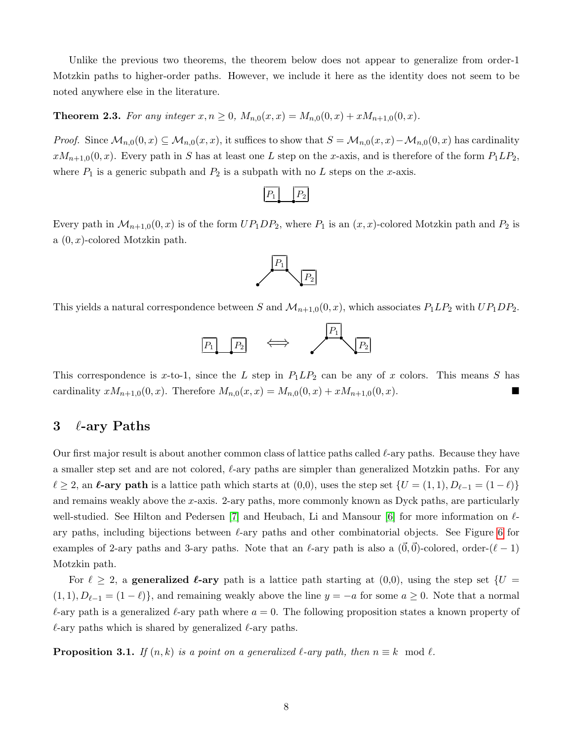Unlike the previous two theorems, the theorem below does not appear to generalize from order-1 Motzkin paths to higher-order paths. However, we include it here as the identity does not seem to be noted anywhere else in the literature.

**Theorem 2.3.** For any integer  $x, n \ge 0$ ,  $M_{n,0}(x, x) = M_{n,0}(0, x) + xM_{n+1,0}(0, x)$ .

*Proof.* Since  $\mathcal{M}_{n,0}(0,x) \subseteq \mathcal{M}_{n,0}(x,x)$ , it suffices to show that  $S = \mathcal{M}_{n,0}(x,x) - \mathcal{M}_{n,0}(0,x)$  has cardinality  $xM_{n+1,0}(0, x)$ . Every path in S has at least one L step on the x-axis, and is therefore of the form  $P_1LP_2$ , where  $P_1$  is a generic subpath and  $P_2$  is a subpath with no L steps on the x-axis.

Every path in  $\mathcal{M}_{n+1,0}(0,x)$  is of the form  $UP_1DP_2$ , where  $P_1$  is an  $(x, x)$ -colored Motzkin path and  $P_2$  is a  $(0, x)$ -colored Motzkin path.



This yields a natural correspondence between S and  $\mathcal{M}_{n+1,0}(0,x)$ , which associates  $P_1LP_2$  with  $UP_1DP_2$ .



This correspondence is x-to-1, since the L step in  $P_1LP_2$  can be any of x colors. This means S has cardinality  $xM_{n+1,0}(0, x)$ . Therefore  $M_{n,0}(x, x) = M_{n,0}(0, x) + xM_{n+1,0}(0, x)$ .

## 3  $\ell$ -ary Paths

Our first major result is about another common class of lattice paths called  $\ell$ -ary paths. Because they have a smaller step set and are not colored,  $\ell$ -ary paths are simpler than generalized Motzkin paths. For any  $\ell \geq 2$ , an  $\ell$ -ary path is a lattice path which starts at  $(0,0)$ , uses the step set  $\{U = (1, 1), D_{\ell-1} = (1 - \ell)\}\$ and remains weakly above the  $x$ -axis. 2-ary paths, more commonly known as Dyck paths, are particularly well-studied. See Hilton and Pedersen [\[7\]](#page-18-9) and Heubach, Li and Mansour [\[6\]](#page-18-10) for more information on  $\ell$ ary paths, including bijections between  $\ell$ -ary paths and other combinatorial objects. See Figure [6](#page-8-0) for examples of 2-ary paths and 3-ary paths. Note that an  $\ell$ -ary path is also a  $(0,0)$ -colored, order- $(\ell - 1)$ Motzkin path.

For  $\ell \geq 2$ , a generalized  $\ell$ -ary path is a lattice path starting at  $(0,0)$ , using the step set  $\{U =$  $(1, 1), D_{\ell-1} = (1 - \ell)$ , and remaining weakly above the line  $y = -a$  for some  $a \ge 0$ . Note that a normal  $\ell$ -ary path is a generalized  $\ell$ -ary path where  $a = 0$ . The following proposition states a known property of  $\ell$ -ary paths which is shared by generalized  $\ell$ -ary paths.

<span id="page-7-0"></span>**Proposition 3.1.** If  $(n, k)$  is a point on a generalized  $\ell$ -ary path, then  $n \equiv k \mod \ell$ .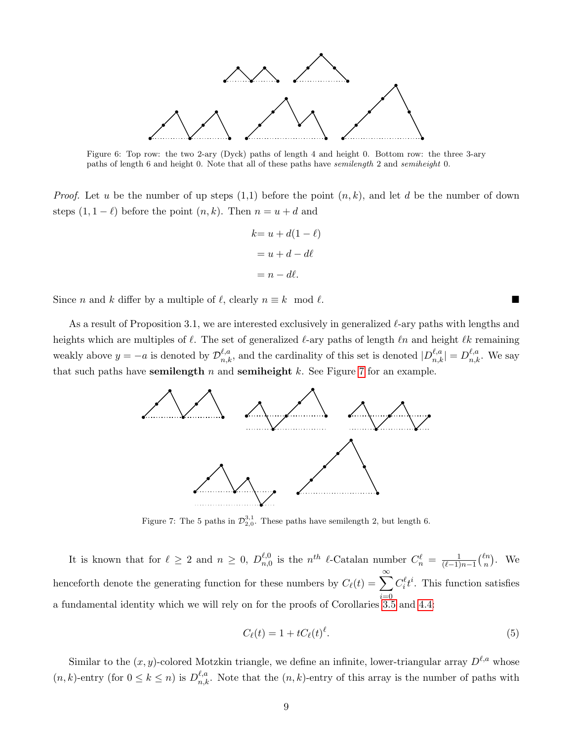<span id="page-8-0"></span>

Figure 6: Top row: the two 2-ary (Dyck) paths of length 4 and height 0. Bottom row: the three 3-ary paths of length 6 and height 0. Note that all of these paths have semilength 2 and semiheight 0.

*Proof.* Let u be the number of up steps  $(1,1)$  before the point  $(n, k)$ , and let d be the number of down steps  $(1, 1 - \ell)$  before the point  $(n, k)$ . Then  $n = u + d$  and

$$
k = u + d(1 - \ell)
$$

$$
= u + d - d\ell
$$

$$
= n - d\ell.
$$

Since n and k differ by a multiple of  $\ell$ , clearly  $n \equiv k \mod \ell$ .

<span id="page-8-1"></span>As a result of Proposition 3.1, we are interested exclusively in generalized  $\ell$ -ary paths with lengths and heights which are multiples of  $\ell$ . The set of generalized  $\ell$ -ary paths of length  $\ell n$  and height  $\ell k$  remaining weakly above  $y = -a$  is denoted by  $\mathcal{D}_{n,k}^{\ell,a}$ , and the cardinality of this set is denoted  $|D_{n,k}^{\ell,a}| = D_{n,k}^{\ell,a}$ . We say that such paths have semilength  $n$  and semiheight  $k$ . See Figure [7](#page-8-1) for an example.



Figure 7: The 5 paths in  $\mathcal{D}_{2,0}^{3,1}$ . These paths have semilength 2, but length 6.

It is known that for  $\ell \geq 2$  and  $n \geq 0$ ,  $D_{n,0}^{\ell,0}$  $\ell,0}_{n,0}$  is the  $n^{th}$   $\ell$ -Catalan number  $C_n^{\ell} = \frac{1}{(\ell-1)}$  $\frac{1}{(\ell-1)n-1}$  $\binom{\ell n}{n}$  $\binom{\ell n}{n}$ . We henceforth denote the generating function for these numbers by  $C_{\ell}(t) = \sum_{k=1}^{\infty}$  $i=0$  $C_i^{\ell}t^i$ . This function satisfies a fundamental identity which we will rely on for the proofs of Corollaries [3.5](#page-10-0) and [4.4:](#page-14-0)

<span id="page-8-2"></span>
$$
C_{\ell}(t) = 1 + tC_{\ell}(t)^{\ell}.
$$
\n
$$
(5)
$$

Similar to the  $(x, y)$ -colored Motzkin triangle, we define an infinite, lower-triangular array  $D^{\ell,a}$  whose  $(n, k)$ -entry (for  $0 \le k \le n$ ) is  $D_{n,k}^{\ell,a}$ . Note that the  $(n, k)$ -entry of this array is the number of paths with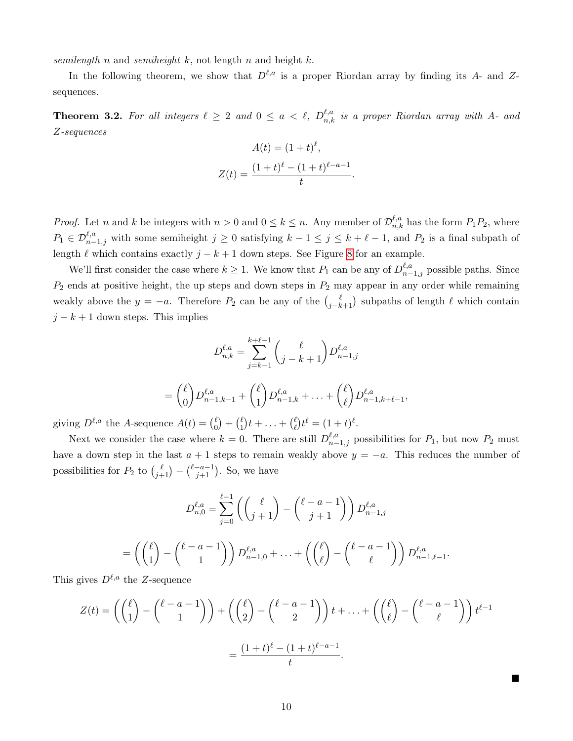semilength n and semiheight  $k$ , not length n and height  $k$ .

In the following theorem, we show that  $D^{\ell,a}$  is a proper Riordan array by finding its A- and Zsequences.

<span id="page-9-0"></span>**Theorem 3.2.** For all integers  $\ell \geq 2$  and  $0 \leq a < \ell$ ,  $D_{n,k}^{\ell,a}$  is a proper Riordan array with A- and Z-sequences

$$
A(t) = (1+t)^{\ell},
$$
  

$$
Z(t) = \frac{(1+t)^{\ell} - (1+t)^{\ell-a-1}}{t}
$$

.

*Proof.* Let n and k be integers with  $n > 0$  and  $0 \le k \le n$ . Any member of  $\mathcal{D}_{n,k}^{\ell,a}$  has the form  $P_1P_2$ , where  $P_1 \in \mathcal{D}_{n-1,j}^{\ell,a}$  with some semiheight  $j \geq 0$  satisfying  $k-1 \leq j \leq k+\ell-1$ , and  $P_2$  is a final subpath of length  $\ell$  which contains exactly  $j - k + 1$  down steps. See Figure [8](#page-10-1) for an example.

We'll first consider the case where  $k \geq 1$ . We know that  $P_1$  can be any of  $D_{n-1,j}^{\ell,a}$  possible paths. Since  $P_2$  ends at positive height, the up steps and down steps in  $P_2$  may appear in any order while remaining weakly above the  $y = -a$ . Therefore  $P_2$  can be any of the  $\binom{\ell}{j-k+1}$  subpaths of length  $\ell$  which contain  $j - k + 1$  down steps. This implies

$$
D_{n,k}^{\ell,a} = \sum_{j=k-1}^{k+\ell-1} \binom{\ell}{j-k+1} D_{n-1,j}^{\ell,a}
$$
  
=  $\binom{\ell}{0} D_{n-1,k-1}^{\ell,a} + \binom{\ell}{1} D_{n-1,k}^{\ell,a} + \ldots + \binom{\ell}{\ell} D_{n-1,k+\ell-1}^{\ell,a}$ ,

giving  $D^{\ell,a}$  the A-sequence  $A(t) = \begin{pmatrix} \ell & \ell \\ 0 & \ell \end{pmatrix}$  $\binom{\ell}{0} + \binom{\ell}{1}$  $\binom{\ell}{1}t + \ldots + \binom{\ell}{\ell}$  $\ell_{\ell}^{\ell}$ )  $t^{\ell} = (1+t)^{\ell}$ .

Next we consider the case where  $k = 0$ . There are still  $D_{n-1,j}^{\ell,a}$  possibilities for  $P_1$ , but now  $P_2$  must have a down step in the last  $a + 1$  steps to remain weakly above  $y = -a$ . This reduces the number of possibilities for  $P_2$  to  $\binom{\ell}{j+1} - \binom{\ell-a-1}{j+1}$ . So, we have

$$
D_{n,0}^{\ell,a} = \sum_{j=0}^{\ell-1} \left( \binom{\ell}{j+1} - \binom{\ell-a-1}{j+1} \right) D_{n-1,j}^{\ell,a}
$$

$$
= \left( \binom{\ell}{1} - \binom{\ell-a-1}{1} \right) D_{n-1,0}^{\ell,a} + \ldots + \left( \binom{\ell}{\ell} - \binom{\ell-a-1}{\ell} \right) D_{n-1,\ell-1}^{\ell,a}.
$$

This gives  $D^{\ell,a}$  the Z-sequence

$$
Z(t) = \left( \binom{\ell}{1} - \binom{\ell - a - 1}{1} \right) + \left( \binom{\ell}{2} - \binom{\ell - a - 1}{2} \right) t + \dots + \left( \binom{\ell}{\ell} - \binom{\ell - a - 1}{\ell} \right) t^{\ell - 1}
$$

$$
= \frac{(1 + t)^{\ell} - (1 + t)^{\ell - a - 1}}{t}.
$$

Ë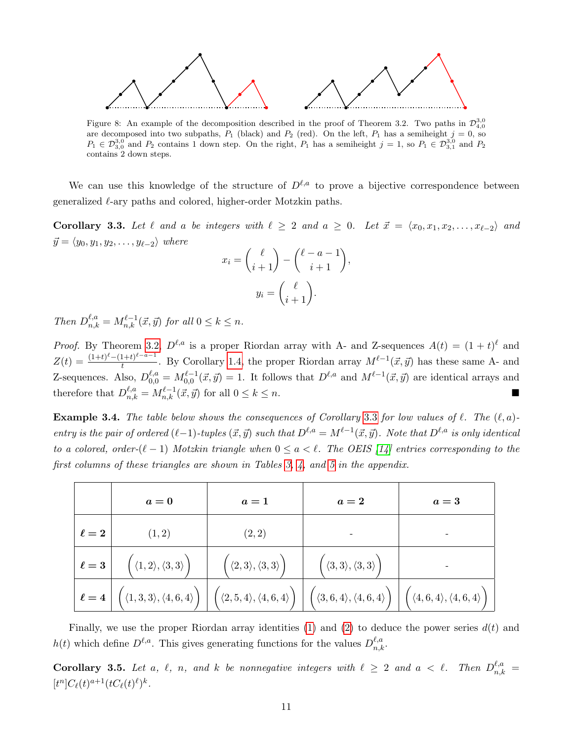<span id="page-10-1"></span>

Figure 8: An example of the decomposition described in the proof of Theorem 3.2. Two paths in  $\mathcal{D}_{4,0}^{3,0}$ are decomposed into two subpaths,  $P_1$  (black) and  $P_2$  (red). On the left,  $P_1$  has a semiheight  $j = 0$ , so  $P_1 \in \mathcal{D}_{3,0}^{3,0}$  and  $P_2$  contains 1 down step. On the right,  $P_1$  has a semiheight  $j = 1$ , so  $P_1 \in \mathcal{D}_{3,1}^{3,0}$  and  $P_2$ contains 2 down steps.

We can use this knowledge of the structure of  $D^{\ell,a}$  to prove a bijective correspondence between generalized  $\ell$ -ary paths and colored, higher-order Motzkin paths.

<span id="page-10-2"></span>Corollary 3.3. Let  $\ell$  and a be integers with  $\ell \geq 2$  and  $a \geq 0$ . Let  $\vec{x} = \langle x_0, x_1, x_2, \ldots, x_{\ell-2} \rangle$  and  $\vec{y} = \langle y_0, y_1, y_2, \dots, y_{\ell-2} \rangle$  where

$$
x_i = \binom{\ell}{i+1} - \binom{\ell - a - 1}{i+1}
$$

$$
y_i = \binom{\ell}{i+1}.
$$

,

Then  $D_{n,k}^{\ell,a} = M_{n,k}^{\ell-1}(\vec{x}, \vec{y})$  for all  $0 \le k \le n$ .

*Proof.* By Theorem [3.2,](#page-9-0)  $D^{\ell,a}$  is a proper Riordan array with A- and Z-sequences  $A(t) = (1 + t)^{\ell}$  and  $Z(t) = \frac{(1+t)^{\ell}-(1+t)^{\ell-a-1}}{t}$  $\frac{(1+t)^{z-a-1}}{t}$ . By Corollary [1.4,](#page-4-0) the proper Riordan array  $M^{\ell-1}(\vec{x}, \vec{y})$  has these same A- and Z-sequences. Also,  $D_{0,0}^{\ell,a} = M_{0,0}^{\ell-1}(\vec{x}, \vec{y}) = 1$ . It follows that  $D^{\ell,a}$  and  $M^{\ell-1}(\vec{x}, \vec{y})$  are identical arrays and therefore that  $D_{n,k}^{\ell,a} = M_{n,k}^{\ell-1}(\vec{x}, \vec{y})$  for all  $0 \leq k \leq n$ .

**Example [3](#page-10-2).4.** The table below shows the consequences of Corollary 3.3 for low values of  $\ell$ . The  $(\ell, a)$ entry is the pair of ordered  $(\ell-1)$ -tuples  $(\vec{x}, \vec{y})$  such that  $D^{\ell,a} = M^{\ell-1}(\vec{x}, \vec{y})$ . Note that  $D^{\ell,a}$  is only identical to a colored, order- $(\ell - 1)$  Motzkin triangle when  $0 \le a < \ell$ . The OEIS [\[14\]](#page-18-3) entries corresponding to the first columns of these triangles are shown in Tables [3,](#page-19-0) [4,](#page-19-1) and [5](#page-20-1) in the appendix.

|            | $a=0$                                                        | $a=1$                                                         | $a=2$                                        | $a=3$                                        |
|------------|--------------------------------------------------------------|---------------------------------------------------------------|----------------------------------------------|----------------------------------------------|
| $\ell=2$   | (1,2)                                                        | (2, 2)                                                        |                                              |                                              |
| $\ell=3$   | $\Big( \, \langle 1,2 \rangle, \langle 3,3 \rangle \Big)$    | $\langle 2,3\rangle, \langle 3,3\rangle$                      | $'\ (3,3\rangle,\langle 3,3\rangle)$         |                                              |
| $\ell = 4$ | $\Big(\,\langle 1,3,3 \rangle, \langle 4,6,4 \rangle\,\Big)$ | $\left( \langle 2,5,4 \rangle, \langle 4,6,4 \rangle \right)$ | $\langle 3,6,4\rangle, \langle 4,6,4\rangle$ | $\langle 4,6,4\rangle, \langle 4,6,4\rangle$ |

Finally, we use the proper Riordan array identities [\(1\)](#page-4-1) and [\(2\)](#page-4-2) to deduce the power series  $d(t)$  and  $h(t)$  which define  $D^{\ell,a}$ . This gives generating functions for the values  $D_{n,k}^{\ell,a}$ .

<span id="page-10-0"></span>**Corollary 3.5.** Let a,  $\ell$ , n, and k be nonnegative integers with  $\ell \geq 2$  and  $a < \ell$ . Then  $D_{n,k}^{\ell,a} =$  $[t^{n}]C_{\ell}(t)^{a+1}(tC_{\ell}(t)^{\ell})^{k}.$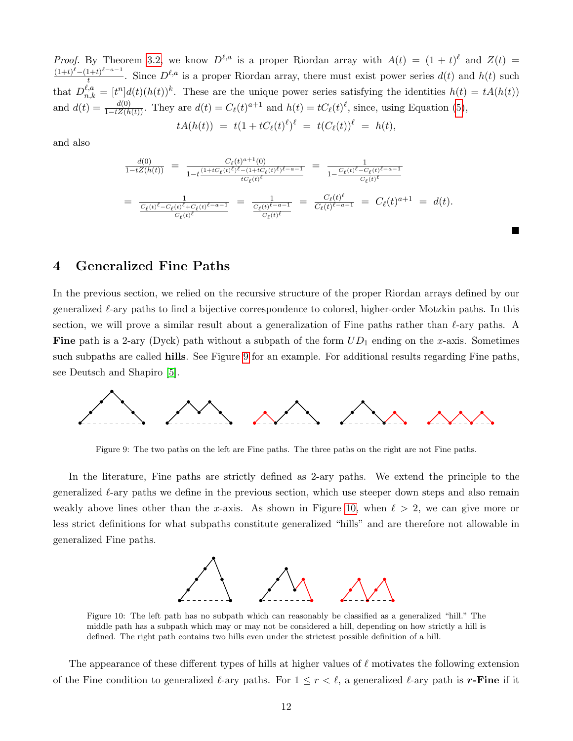*Proof.* By Theorem [3.2,](#page-9-0) we know  $D^{\ell,a}$  is a proper Riordan array with  $A(t) = (1 + t)^{\ell}$  and  $Z(t) =$  $(1+t)^{\ell}-(1+t)^{\ell-a-1}$  $\frac{1+t}{t}$ . Since  $D^{\ell,a}$  is a proper Riordan array, there must exist power series  $d(t)$  and  $h(t)$  such that  $D_{n,k}^{\ell,a} = [t^n]d(t)(h(t))^k$ . These are the unique power series satisfying the identities  $h(t) = tA(h(t))$ and  $d(t) = \frac{d(0)}{1-tZ(h(t))}$ . They are  $d(t) = C_{\ell}(t)^{a+1}$  and  $h(t) = tC_{\ell}(t)^{\ell}$ , since, using Equation [\(5\)](#page-8-2),

$$
tA(h(t)) = t(1 + tC_{\ell}(t)^{\ell})^{\ell} = t(C_{\ell}(t))^{\ell} = h(t),
$$

and also

$$
\frac{d(0)}{1-tZ(h(t))} = \frac{C_{\ell}(t)^{a+1}(0)}{1-t^{a+1}C_{\ell}(t)^{\ell-a-1}} = \frac{1}{1-\frac{C_{\ell}(t)^{\ell}-C_{\ell}(t)^{\ell-a-1}}{C_{\ell}(t)^{\ell}}} \n= \frac{1}{\frac{C_{\ell}(t)^{\ell}-C_{\ell}(t)^{\ell}C_{\ell}(t)^{\ell-a-1}}{C_{\ell}(t)^{\ell}}} = \frac{1}{\frac{C_{\ell}(t)^{\ell}-C_{\ell}(t)^{\ell-a-1}}{C_{\ell}(t)^{\ell-a-1}}} = \frac{C_{\ell}(t)^{\ell}}{C_{\ell}(t)^{\ell-a-1}} = C_{\ell}(t)^{a+1} = d(t).
$$

■

## 4 Generalized Fine Paths

In the previous section, we relied on the recursive structure of the proper Riordan arrays defined by our generalized  $\ell$ -ary paths to find a bijective correspondence to colored, higher-order Motzkin paths. In this section, we will prove a similar result about a generalization of Fine paths rather than  $\ell$ -ary paths. A **Fine** path is a 2-ary (Dyck) path without a subpath of the form  $UD_1$  ending on the x-axis. Sometimes such subpaths are called **hills**. See Figure [9](#page-11-0) for an example. For additional results regarding Fine paths, see Deutsch and Shapiro [\[5\]](#page-18-11).

<span id="page-11-0"></span>

Figure 9: The two paths on the left are Fine paths. The three paths on the right are not Fine paths.

In the literature, Fine paths are strictly defined as 2-ary paths. We extend the principle to the generalized  $\ell$ -ary paths we define in the previous section, which use steeper down steps and also remain weakly above lines other than the x-axis. As shown in Figure [10,](#page-11-1) when  $\ell > 2$ , we can give more or less strict definitions for what subpaths constitute generalized "hills" and are therefore not allowable in generalized Fine paths.



<span id="page-11-1"></span>Figure 10: The left path has no subpath which can reasonably be classified as a generalized "hill." The middle path has a subpath which may or may not be considered a hill, depending on how strictly a hill is defined. The right path contains two hills even under the strictest possible definition of a hill.

The appearance of these different types of hills at higher values of  $\ell$  motivates the following extension of the Fine condition to generalized  $\ell$ -ary paths. For  $1 \leq r < \ell$ , a generalized  $\ell$ -ary path is r-Fine if it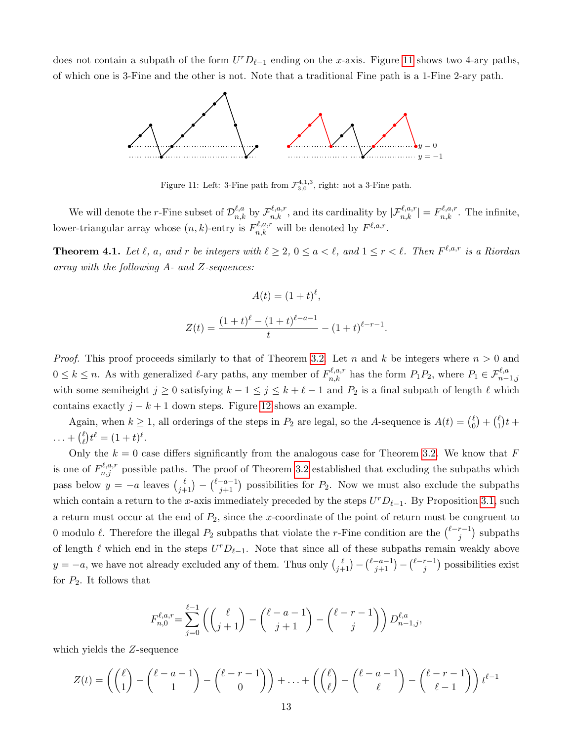<span id="page-12-0"></span>does not contain a subpath of the form  $U^r D_{\ell-1}$  ending on the x-axis. Figure [11](#page-12-0) shows two 4-ary paths, of which one is 3-Fine and the other is not. Note that a traditional Fine path is a 1-Fine 2-ary path.



Figure 11: Left: 3-Fine path from  $\mathcal{F}_{3,0}^{4,1,3}$ , right: not a 3-Fine path.

We will denote the *r*-Fine subset of  $\mathcal{D}_{n,k}^{\ell,a}$  by  $\mathcal{F}_{n,k}^{\ell,a,r}$ , and its cardinality by  $|\mathcal{F}_{n,k}^{\ell,a,r}| = F_{n,k}^{\ell,a,r}$ . The infinite, lower-triangular array whose  $(n, k)$ -entry is  $F_{n,k}^{\ell, a,r}$  will be denoted by  $F^{\ell, a,r}$ .

<span id="page-12-1"></span>**Theorem 4.1.** Let  $\ell$ , a, and r be integers with  $\ell \geq 2$ ,  $0 \leq a < \ell$ , and  $1 \leq r < \ell$ . Then  $F^{\ell,a,r}$  is a Riordan array with the following A- and Z-sequences:

$$
A(t) = (1+t)^{\ell},
$$
  

$$
Z(t) = \frac{(1+t)^{\ell} - (1+t)^{\ell-a-1}}{t} - (1+t)^{\ell-r-1}.
$$

*Proof.* This proof proceeds similarly to that of Theorem [3.2.](#page-9-0) Let n and k be integers where  $n > 0$  and  $0 \leq k \leq n$ . As with generalized  $\ell$ -ary paths, any member of  $F_{n,k}^{\ell,a,r}$  has the form  $P_1P_2$ , where  $P_1 \in \mathcal{F}_{n-1,j}^{\ell,a}$ with some semiheight  $j \geq 0$  satisfying  $k - 1 \leq j \leq k + \ell - 1$  and  $P_2$  is a final subpath of length  $\ell$  which contains exactly  $j - k + 1$  down steps. Figure [12](#page-13-0) shows an example.

Again, when  $k \geq 1$ , all orderings of the steps in  $P_2$  are legal, so the A-sequence is  $A(t) = \binom{\ell}{0}$  $\binom{\ell}{0} + \binom{\ell}{1}$  $_{1}^{\ell}$ ) $t+$  $\ldots + {\ell \choose \ell}$  $\ell_{\ell}^{\ell}$ )  $t^{\ell} = (1+t)^{\ell}$ .

Only the  $k = 0$  case differs significantly from the analogous case for Theorem [3.2.](#page-9-0) We know that F is one of  $F_{n,j}^{\ell,a,r}$  possible paths. The proof of Theorem [3.2](#page-9-0) established that excluding the subpaths which pass below  $y = -a$  leaves  $\binom{\ell}{j+1} - \binom{\ell-a-1}{j+1}$  possibilities for  $P_2$ . Now we must also exclude the subpaths which contain a return to the x-axis immediately preceded by the steps  $U^rD_{\ell-1}$ . By Proposition [3.1,](#page-7-0) such a return must occur at the end of  $P_2$ , since the x-coordinate of the point of return must be congruent to 0 modulo  $\ell$ . Therefore the illegal  $P_2$  subpaths that violate the r-Fine condition are the  $\binom{\ell-r-1}{i}$  $j^{r-1}$ ) subpaths of length  $\ell$  which end in the steps  $U^rD_{\ell-1}$ . Note that since all of these subpaths remain weakly above  $y = -a$ , we have not already excluded any of them. Thus only  $\binom{\ell}{j+1} - \binom{\ell-a-1}{j+1} - \binom{\ell-r-1}{j}$  $j^{r-1}$ ) possibilities exist for  $P_2$ . It follows that

$$
F_{n,0}^{\ell,a,r} = \sum_{j=0}^{\ell-1} \left( \binom{\ell}{j+1} - \binom{\ell-a-1}{j+1} - \binom{\ell-r-1}{j} \right) D_{n-1,j}^{\ell,a},
$$

which yields the Z-sequence

$$
Z(t) = \left( \binom{\ell}{1} - \binom{\ell - a - 1}{1} - \binom{\ell - r - 1}{0} \right) + \ldots + \left( \binom{\ell}{\ell} - \binom{\ell - a - 1}{\ell} - \binom{\ell - r - 1}{\ell - 1} \right) t^{\ell - 1}
$$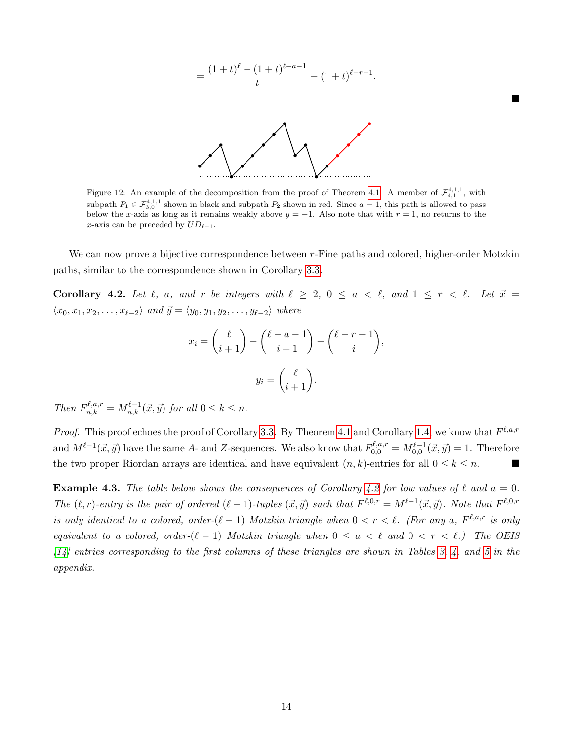

<span id="page-13-0"></span>Figure 12: An example of the decomposition from the proof of Theorem [4.1.](#page-12-1) A member of  $\mathcal{F}_{4,1}^{4,1,1}$ , with subpath  $P_1 \in \mathcal{F}_{3,0}^{4,1,1}$  shown in black and subpath  $P_2$  shown in red. Since  $a = 1$ , this path is allowed to pass below the x-axis as long as it remains weakly above  $y = -1$ . Also note that with  $r = 1$ , no returns to the x-axis can be preceded by  $UD_{\ell-1}$ .

We can now prove a bijective correspondence between r-Fine paths and colored, higher-order Motzkin paths, similar to the correspondence shown in Corollary [3.3.](#page-10-2)

<span id="page-13-1"></span>Corollary 4.2. Let  $\ell$ ,  $a$ , and  $r$  be integers with  $\ell \geq 2$ ,  $0 \leq a \leq \ell$ , and  $1 \leq r \leq \ell$ . Let  $\vec{x} =$  $\langle x_0, x_1, x_2, \ldots, x_{\ell-2} \rangle$  and  $\vec{y} = \langle y_0, y_1, y_2, \ldots, y_{\ell-2} \rangle$  where

$$
x_i = \binom{\ell}{i+1} - \binom{\ell - a - 1}{i+1} - \binom{\ell - r - 1}{i},
$$

$$
y_i = \binom{\ell}{i+1}.
$$

Then  $F_{n,k}^{\ell,a,r} = M_{n,k}^{\ell-1}(\vec{x}, \vec{y})$  for all  $0 \leq k \leq n$ .

*Proof.* This proof echoes the proof of Corollary [3.3.](#page-10-2) By Theorem [4.1](#page-12-1) and Corollary [1.4,](#page-4-0) we know that  $F^{\ell,a,r}$ and  $M^{\ell-1}(\vec{x}, \vec{y})$  have the same A- and Z-sequences. We also know that  $F_{0,0}^{\ell,a,r} = M_{0,0}^{\ell-1}(\vec{x}, \vec{y}) = 1$ . Therefore the two proper Riordan arrays are identical and have equivalent  $(n, k)$ -entries for all  $0 \leq k \leq n$ .

**Example 4.3.** The table below shows the consequences of Corollary [4.2](#page-13-1) for low values of  $\ell$  and  $a = 0$ . The  $(\ell, r)$ -entry is the pair of ordered  $(\ell - 1)$ -tuples  $(\vec{x}, \vec{y})$  such that  $F^{\ell,0,r} = M^{\ell-1}(\vec{x}, \vec{y})$ . Note that  $F^{\ell,0,r}$ is only identical to a colored, order- $(\ell - 1)$  Motzkin triangle when  $0 < r < \ell$ . (For any a,  $F^{\ell, a,r}$  is only equivalent to a colored, order- $(\ell - 1)$  Motzkin triangle when  $0 \le a < \ell$  and  $0 < r < \ell$ .) The OEIS  $[14]$  entries corresponding to the first columns of these triangles are shown in Tables [3,](#page-19-0) [4,](#page-19-1) and [5](#page-20-1) in the appendix.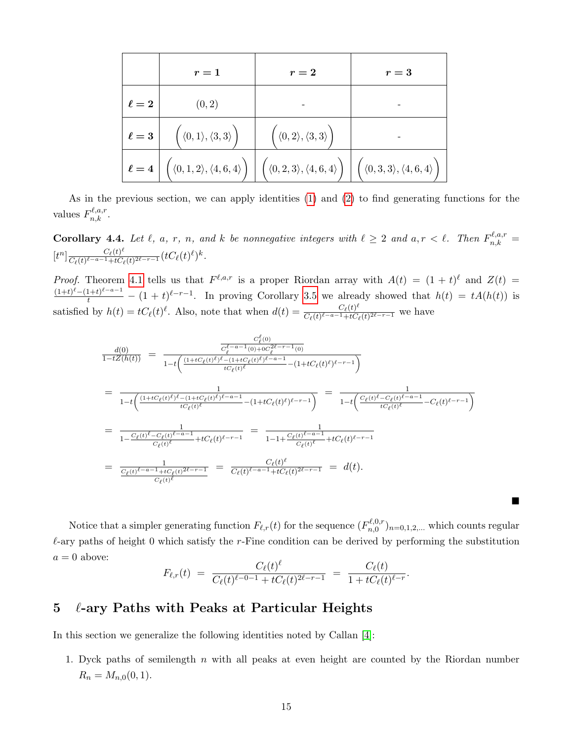|            | $r=1$                                                 | $r=2$                                                                                                                                                                                                                                                   | $r=3$ |
|------------|-------------------------------------------------------|---------------------------------------------------------------------------------------------------------------------------------------------------------------------------------------------------------------------------------------------------------|-------|
| $\ell=2$   | (0, 2)                                                |                                                                                                                                                                                                                                                         |       |
| $\ell = 3$ | $\Big(\,\langle 0,1\rangle,\langle 3,3\rangle\,\Big)$ | $\Big(\,\langle 0,2\rangle,\langle 3,3\rangle\,\Big)$                                                                                                                                                                                                   |       |
|            |                                                       | $\ell = 4 \left[ \left( \langle 0, 1, 2 \rangle, \langle 4, 6, 4 \rangle \right) \right] \left[ \left( \langle 0, 2, 3 \rangle, \langle 4, 6, 4 \rangle \right) \right] \left[ \left( \langle 0, 3, 3 \rangle, \langle 4, 6, 4 \rangle \right) \right]$ |       |

As in the previous section, we can apply identities [\(1\)](#page-4-1) and [\(2\)](#page-4-2) to find generating functions for the values  $F_{n,k}^{\ell,a,r}$ .

<span id="page-14-0"></span>**Corollary 4.4.** Let  $\ell$ , a, r, n, and k be nonnegative integers with  $\ell \geq 2$  and  $a, r < \ell$ . Then  $F_{n,k}^{\ell,a,r} =$  $[t^n] \frac{C_{\ell}(t)^{\ell}}{C_{\ell}(t)\ell-a-1+tC}$  $\frac{C_\ell(t)^\ell}{C_\ell(t)^{\ell-a-1}+tC_\ell(t)^{2\ell-r-1}}(tC_\ell(t)^\ell)^k.$ 

*Proof.* Theorem [4.1](#page-12-1) tells us that  $F^{\ell,a,r}$  is a proper Riordan array with  $A(t) = (1+t)^{\ell}$  and  $Z(t) =$  $\frac{(1+t)^{\ell}-(1+t)^{\ell-a-1}}{t}-(1+t)^{\ell-r-1}$ . In proving Corollary [3.5](#page-10-0) we already showed that  $h(t) = tA(h(t))$  is satisfied by  $h(t) = tC_{\ell}(t)^{\ell}$ . Also, note that when  $d(t) = \frac{C_{\ell}(t)^{\ell}}{C_{\ell}(t)^{\ell-a-1}+tC_{\ell}}$  $\frac{C_{\ell}(t)}{C_{\ell}(t)^{\ell-a-1}+tC_{\ell}(t)^{2\ell-r-1}}$  we have

$$
\frac{d(0)}{1-tZ(h(t))} = \frac{\frac{C_{\ell}^{\ell}(0)}{C_{\ell}^{\ell-a-1}(0)+C_{\ell}^{2\ell-r-1}(0)}}{1-t\left(\frac{(1+tC_{\ell}(t)^{\ell})^{\ell}-(1+tC_{\ell}(t)^{\ell})^{\ell-a-1}}{tC_{\ell}(t)^{\ell}}-(1+tC_{\ell}(t)^{\ell})^{\ell-r-1}\right)}
$$
\n
$$
= \frac{1}{1-t\left(\frac{(1+tC_{\ell}(t)^{\ell})^{\ell}-(1+tC_{\ell}(t)^{\ell})^{\ell-a-1}}{tC_{\ell}(t)^{\ell}}-(1+tC_{\ell}(t)^{\ell})^{\ell-r-1}\right)} = \frac{1}{1-t\left(\frac{C_{\ell}(t)^{\ell}-C_{\ell}(t)^{\ell-a-1}}{tC_{\ell}(t)^{\ell}}-C_{\ell}(t)^{\ell-r-1}\right)}
$$
\n
$$
= \frac{1}{1-\frac{C_{\ell}(t)^{\ell}-C_{\ell}(t)^{\ell-a-1}}{C_{\ell}(t)^{\ell}}+tC_{\ell}(t)^{\ell-r-1}} = \frac{1}{1-1+\frac{C_{\ell}(t)^{\ell-a-1}}{C_{\ell}(t)^{\ell}}+tC_{\ell}(t)^{\ell-r-1}}
$$
\n
$$
= \frac{1}{\frac{C_{\ell}(t)^{\ell-a-1}+tC_{\ell}(t)^{2\ell-r-1}}{C_{\ell}(t)^{\ell}}} = \frac{C_{\ell}(t)^{\ell}}{C_{\ell}(t)^{\ell-a-1}+tC_{\ell}(t)^{2\ell-r-1}} = d(t).
$$

Notice that a simpler generating function  $F_{\ell,r}(t)$  for the sequence  $(F_{n,0}^{\ell,0,r})$  $(n,0,r)_{n=0,1,2,...}$  which counts regular  $\ell$ -ary paths of height 0 which satisfy the r-Fine condition can be derived by performing the substitution  $a = 0$  above:

п

$$
F_{\ell,r}(t) = \frac{C_{\ell}(t)^{\ell}}{C_{\ell}(t)^{\ell-0-1} + tC_{\ell}(t)^{2\ell-r-1}} = \frac{C_{\ell}(t)}{1 + tC_{\ell}(t)^{\ell-r}}.
$$

## $\frac{5}{2}$   $\ell$ -ary Paths with Peaks at Particular Heights

In this section we generalize the following identities noted by Callan [\[4\]](#page-18-12):

1. Dyck paths of semilength  $n$  with all peaks at even height are counted by the Riordan number  $R_n = M_{n,0}(0,1).$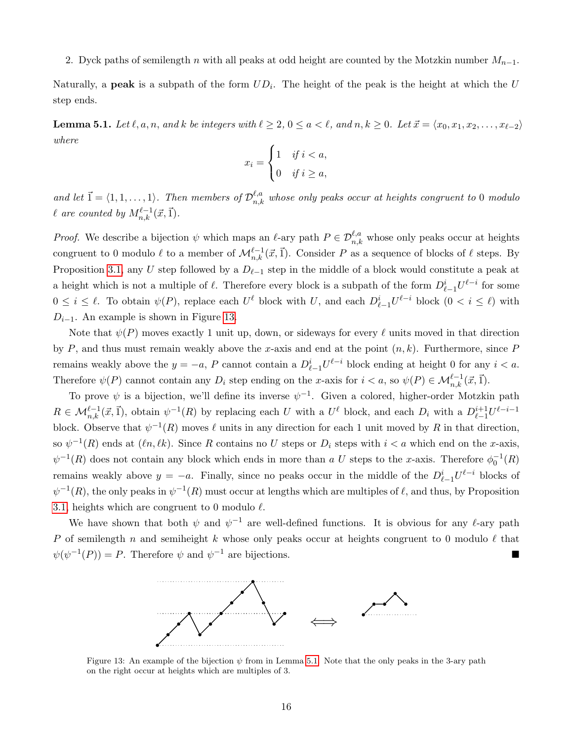### 2. Dyck paths of semilength n with all peaks at odd height are counted by the Motzkin number  $M_{n-1}$ .

Naturally, a **peak** is a subpath of the form  $UD_i$ . The height of the peak is the height at which the U step ends.

<span id="page-15-1"></span>**Lemma 5.1.** Let  $\ell, a, n$ , and k be integers with  $\ell \geq 2$ ,  $0 \leq a < \ell$ , and  $n, k \geq 0$ . Let  $\vec{x} = \langle x_0, x_1, x_2, \ldots, x_{\ell-2} \rangle$ where

$$
x_i = \begin{cases} 1 & \text{if } i < a, \\ 0 & \text{if } i \ge a, \end{cases}
$$

and let  $\vec{1} = \langle 1, 1, \ldots, 1 \rangle$ . Then members of  $\mathcal{D}_{n,k}^{\ell,a}$  whose only peaks occur at heights congruent to 0 modulo  $\ell$  are counted by  $M_{n,k}^{\ell-1}(\vec{x}, \vec{1}).$ 

*Proof.* We describe a bijection  $\psi$  which maps an  $\ell$ -ary path  $P \in \mathcal{D}_{n,k}^{\ell,a}$  whose only peaks occur at heights congruent to 0 modulo  $\ell$  to a member of  $\mathcal{M}_{n,k}^{\ell-1}(\vec{x}, \vec{1})$ . Consider P as a sequence of blocks of  $\ell$  steps. By Proposition [3.1,](#page-7-0) any U step followed by a  $D_{\ell-1}$  step in the middle of a block would constitute a peak at a height which is not a multiple of  $\ell$ . Therefore every block is a subpath of the form  $D_{\ell-1}^i U^{\ell-i}$  for some  $0 \leq i \leq \ell$ . To obtain  $\psi(P)$ , replace each  $U^{\ell}$  block with U, and each  $D_{\ell-1}^{i}U^{\ell-i}$  block  $(0 \leq i \leq \ell)$  with  $D_{i-1}$ . An example is shown in Figure [13.](#page-15-0)

Note that  $\psi(P)$  moves exactly 1 unit up, down, or sideways for every  $\ell$  units moved in that direction by P, and thus must remain weakly above the x-axis and end at the point  $(n, k)$ . Furthermore, since P remains weakly above the  $y = -a$ , P cannot contain a  $D_{\ell-1}^i U^{\ell-i}$  block ending at height 0 for any  $i < a$ . Therefore  $\psi(P)$  cannot contain any  $D_i$  step ending on the x-axis for  $i < a$ , so  $\psi(P) \in \mathcal{M}_{n,k}^{\ell-1}(\vec{x}, \vec{1})$ .

To prove  $\psi$  is a bijection, we'll define its inverse  $\psi^{-1}$ . Given a colored, higher-order Motzkin path  $R \in \mathcal{M}_{n,k}^{\ell-1}(\vec{x}, \vec{1}),$  obtain  $\psi^{-1}(R)$  by replacing each U with a  $U^{\ell}$  block, and each  $D_i$  with a  $D_{\ell-1}^{i+1}U^{\ell-i-1}$ block. Observe that  $\psi^{-1}(R)$  moves  $\ell$  units in any direction for each 1 unit moved by R in that direction, so  $\psi^{-1}(R)$  ends at  $(\ell n, \ell k)$ . Since R contains no U steps or  $D_i$  steps with  $i < a$  which end on the x-axis,  $\psi^{-1}(R)$  does not contain any block which ends in more than a U steps to the x-axis. Therefore  $\phi_0^{-1}(R)$ remains weakly above  $y = -a$ . Finally, since no peaks occur in the middle of the  $D_{\ell-1}^{i}U^{\ell-i}$  blocks of  $\psi^{-1}(R)$ , the only peaks in  $\psi^{-1}(R)$  must occur at lengths which are multiples of  $\ell$ , and thus, by Proposition [3.1,](#page-7-0) heights which are congruent to 0 modulo  $\ell$ .

<span id="page-15-0"></span>We have shown that both  $\psi$  and  $\psi^{-1}$  are well-defined functions. It is obvious for any  $\ell$ -ary path P of semilength n and semiheight k whose only peaks occur at heights congruent to 0 modulo  $\ell$  that  $\psi(\psi^{-1}(P)) = P$ . Therefore  $\psi$  and  $\psi^{-1}$  are bijections.



Figure 13: An example of the bijection  $\psi$  from in Lemma [5.1.](#page-15-1) Note that the only peaks in the 3-ary path on the right occur at heights which are multiples of 3.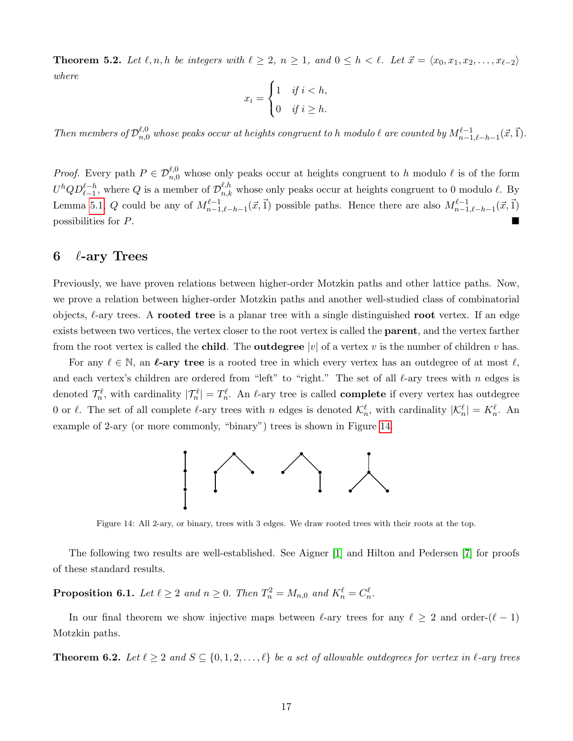**Theorem 5.2.** Let  $\ell, n, h$  be integers with  $\ell \geq 2, n \geq 1$ , and  $0 \leq h < \ell$ . Let  $\vec{x} = \langle x_0, x_1, x_2, \ldots, x_{\ell-2} \rangle$ where

$$
x_i = \begin{cases} 1 & \text{if } i < h, \\ 0 & \text{if } i \ge h. \end{cases}
$$

Then members of  $\mathcal{D}_{n,0}^{\ell,0}$  whose peaks occur at heights congruent to h modulo  $\ell$  are counted by  $M_{n-1,\ell-h-1}^{\ell-1}(\vec{x}, \vec{1})$ .

*Proof.* Every path  $P \in \mathcal{D}_{n,0}^{\ell,0}$  whose only peaks occur at heights congruent to h modulo  $\ell$  is of the form  $U^h Q D_{\ell-1}^{\ell-h}$ , where Q is a member of  $\mathcal{D}_{n,k}^{\ell,h}$  whose only peaks occur at heights congruent to 0 modulo  $\ell$ . By Lemma [5.1,](#page-15-1) Q could be any of  $M_{n-1,\ell-h-1}^{\ell-1}(\vec{x}, \vec{1})$  possible paths. Hence there are also  $M_{n-1,\ell-h-1}^{\ell-1}(\vec{x}, \vec{1})$ possibilities for P.

### 6  $\ell$ -ary Trees

Previously, we have proven relations between higher-order Motzkin paths and other lattice paths. Now, we prove a relation between higher-order Motzkin paths and another well-studied class of combinatorial objects,  $\ell$ -ary trees. A rooted tree is a planar tree with a single distinguished root vertex. If an edge exists between two vertices, the vertex closer to the root vertex is called the parent, and the vertex farther from the root vertex is called the **child**. The **outdegree** |v| of a vertex v is the number of children v has.

<span id="page-16-0"></span>For any  $\ell \in \mathbb{N}$ , an  $\ell$ -ary tree is a rooted tree in which every vertex has an outdegree of at most  $\ell$ , and each vertex's children are ordered from "left" to "right." The set of all  $\ell$ -ary trees with n edges is denoted  $\mathcal{T}_n^{\ell}$ , with cardinality  $|\mathcal{T}_n^{\ell}| = T_n^{\ell}$ . An  $\ell$ -ary tree is called **complete** if every vertex has outdegree 0 or  $\ell$ . The set of all complete  $\ell$ -ary trees with n edges is denoted  $\mathcal{K}_n^{\ell}$ , with cardinality  $|\mathcal{K}_n^{\ell}| = K_n^{\ell}$ . An example of 2-ary (or more commonly, "binary") trees is shown in Figure [14.](#page-16-0)



Figure 14: All 2-ary, or binary, trees with 3 edges. We draw rooted trees with their roots at the top.

The following two results are well-established. See Aigner [\[1\]](#page-18-0) and Hilton and Pedersen [\[7\]](#page-18-9) for proofs of these standard results.

**Proposition 6.1.** Let  $\ell \geq 2$  and  $n \geq 0$ . Then  $T_n^2 = M_{n,0}$  and  $K_n^{\ell} = C_n^{\ell}$ .

In our final theorem we show injective maps between  $\ell$ -ary trees for any  $\ell \geq 2$  and order- $(\ell - 1)$ Motzkin paths.

<span id="page-16-1"></span>**Theorem 6.2.** Let  $\ell \geq 2$  and  $S \subseteq \{0, 1, 2, ..., \ell\}$  be a set of allowable outdegrees for vertex in  $\ell$ -ary trees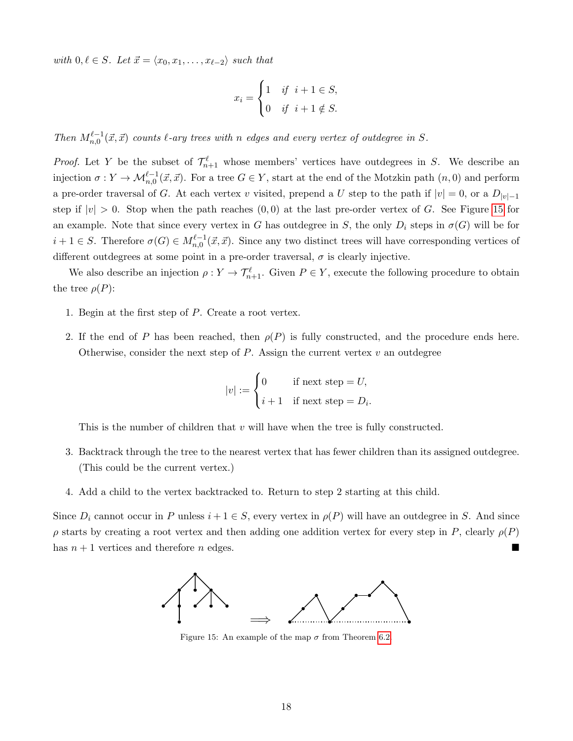with  $0, \ell \in S$ . Let  $\vec{x} = \langle x_0, x_1, \ldots, x_{\ell-2} \rangle$  such that

$$
x_i = \begin{cases} 1 & \text{if } i+1 \in S, \\ 0 & \text{if } i+1 \notin S. \end{cases}
$$

Then  $M_{n,0}^{\ell-1}(\vec{x},\vec{x})$  counts  $\ell$ -ary trees with n edges and every vertex of outdegree in S.

*Proof.* Let Y be the subset of  $\mathcal{T}_{n+1}^{\ell}$  whose members' vertices have outdegrees in S. We describe an injection  $\sigma: Y \to \mathcal{M}_{n,0}^{\ell-1}(\vec{x}, \vec{x})$ . For a tree  $G \in Y$ , start at the end of the Motzkin path  $(n,0)$  and perform a pre-order traversal of G. At each vertex v visited, prepend a U step to the path if  $|v| = 0$ , or a  $D_{|v|-1}$ step if  $|v| > 0$ . Stop when the path reaches  $(0, 0)$  at the last pre-order vertex of G. See Figure [15](#page-17-0) for an example. Note that since every vertex in G has outdegree in S, the only  $D_i$  steps in  $\sigma(G)$  will be for  $i+1 \in S$ . Therefore  $\sigma(G) \in M_{n,0}^{\ell-1}(\vec{x}, \vec{x})$ . Since any two distinct trees will have corresponding vertices of different outdegrees at some point in a pre-order traversal,  $\sigma$  is clearly injective.

We also describe an injection  $\rho: Y \to \mathcal{T}_{n+1}^{\ell}$ . Given  $P \in Y$ , execute the following procedure to obtain the tree  $\rho(P)$ :

- 1. Begin at the first step of P. Create a root vertex.
- 2. If the end of P has been reached, then  $\rho(P)$  is fully constructed, and the procedure ends here. Otherwise, consider the next step of  $P$ . Assign the current vertex  $v$  an outdegree

$$
|v| := \begin{cases} 0 & \text{if next step} = U, \\ i+1 & \text{if next step} = D_i. \end{cases}
$$

This is the number of children that  $v$  will have when the tree is fully constructed.

- 3. Backtrack through the tree to the nearest vertex that has fewer children than its assigned outdegree. (This could be the current vertex.)
- 4. Add a child to the vertex backtracked to. Return to step 2 starting at this child.

<span id="page-17-0"></span>Since  $D_i$  cannot occur in P unless  $i + 1 \in S$ , every vertex in  $\rho(P)$  will have an outdegree in S. And since  $\rho$  starts by creating a root vertex and then adding one addition vertex for every step in P, clearly  $\rho(P)$ has  $n + 1$  vertices and therefore n edges.



Figure 15: An example of the map  $\sigma$  from Theorem [6.2.](#page-16-1)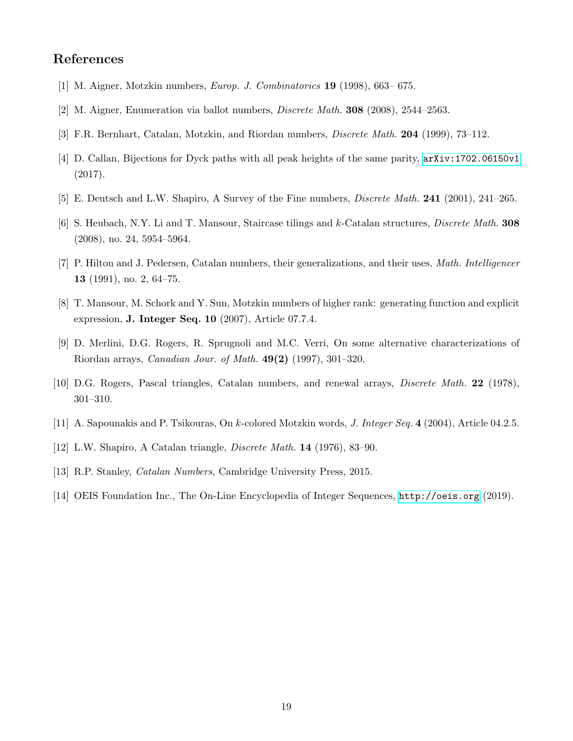# References

- <span id="page-18-0"></span>[1] M. Aigner, Motzkin numbers, Europ. J. Combinatorics 19 (1998), 663– 675.
- <span id="page-18-2"></span>[2] M. Aigner, Enumeration via ballot numbers, Discrete Math. 308 (2008), 2544–2563.
- <span id="page-18-1"></span>[3] F.R. Bernhart, Catalan, Motzkin, and Riordan numbers, *Discrete Math.* **204** (1999), 73–112.
- <span id="page-18-12"></span>[4] D. Callan, Bijections for Dyck paths with all peak heights of the same parity,  $arXiv:1702.06150v1$ (2017).
- <span id="page-18-11"></span>[5] E. Deutsch and L.W. Shapiro, A Survey of the Fine numbers, *Discrete Math.* **241** (2001), 241–265.
- <span id="page-18-10"></span>[6] S. Heubach, N.Y. Li and T. Mansour, Staircase tilings and k-Catalan structures, *Discrete Math.* 308 (2008), no. 24, 5954–5964.
- <span id="page-18-9"></span>[7] P. Hilton and J. Pedersen, Catalan numbers, their generalizations, and their uses, Math. Intelligencer 13 (1991), no. 2, 64–75.
- <span id="page-18-4"></span>[8] T. Mansour, M. Schork and Y. Sun, Motzkin numbers of higher rank: generating function and explicit expression, J. Integer Seq. 10 (2007), Article 07.7.4.
- <span id="page-18-7"></span>[9] D. Merlini, D.G. Rogers, R. Sprugnoli and M.C. Verri, On some alternative characterizations of Riordan arrays, Canadian Jour. of Math. 49(2) (1997), 301–320.
- <span id="page-18-6"></span>[10] D.G. Rogers, Pascal triangles, Catalan numbers, and renewal arrays, Discrete Math. 22 (1978), 301–310.
- <span id="page-18-5"></span>[11] A. Sapounakis and P. Tsikouras, On k-colored Motzkin words, J. Integer Seq. 4 (2004), Article 04.2.5.
- <span id="page-18-8"></span>[12] L.W. Shapiro, A Catalan triangle, Discrete Math. 14 (1976), 83–90.
- [13] R.P. Stanley, Catalan Numbers, Cambridge University Press, 2015.
- <span id="page-18-3"></span>[14] OEIS Foundation Inc., The On-Line Encyclopedia of Integer Sequences, <http://oeis.org> (2019).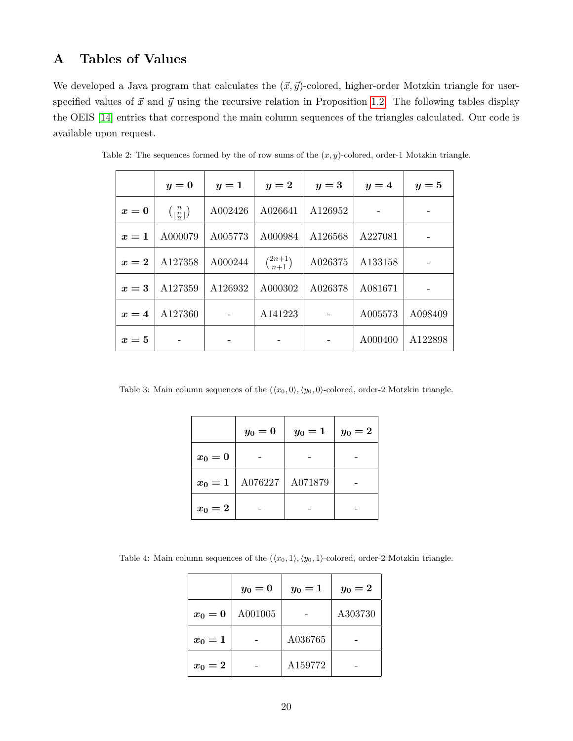# A Tables of Values

We developed a Java program that calculates the  $(\vec{x}, \vec{y})$ -colored, higher-order Motzkin triangle for userspecified values of  $\vec{x}$  and  $\vec{y}$  using the recursive relation in Proposition [1.2.](#page-3-1) The following tables display the OEIS [\[14\]](#page-18-3) entries that correspond the main column sequences of the triangles calculated. Our code is available upon request.

|       | $y=0$                                               | $y=1$   | $y=2$               | $y=3$   | $y=4$   | $y=5$   |
|-------|-----------------------------------------------------|---------|---------------------|---------|---------|---------|
| $x=0$ | $\binom{n}{\left\lfloor \frac{n}{2} \right\rfloor}$ | A002426 | A026641             | A126952 |         |         |
| $x=1$ | A000079                                             | A005773 | A000984             | A126568 | A227081 |         |
| $x=2$ | A127358                                             | A000244 | $\binom{2n+1}{n+1}$ | A026375 | A133158 |         |
| $x=3$ | A127359                                             | A126932 | A000302             | A026378 | A081671 |         |
| $x=4$ | A127360                                             |         | A141223             |         | A005573 | A098409 |
| $x=5$ |                                                     |         |                     |         | A000400 | A122898 |

Table 2: The sequences formed by the of row sums of the  $(x, y)$ -colored, order-1 Motzkin triangle.

<span id="page-19-0"></span>Table 3: Main column sequences of the  $(\langle x_0, 0 \rangle, \langle y_0, 0 \rangle)$ -colored, order-2 Motzkin triangle.

|         | $y_0=0$ | $y_0=1$ | $y_0=2$ |
|---------|---------|---------|---------|
| $x_0=0$ |         |         |         |
| $x_0=1$ | A076227 | A071879 |         |
| $x_0=2$ |         |         |         |

<span id="page-19-1"></span>Table 4: Main column sequences of the  $(\langle x_0, 1 \rangle, \langle y_0, 1 \rangle)$ -colored, order-2 Motzkin triangle.

|           | $y_0=0$ | $y_0=1$ | $y_0=2$ |
|-----------|---------|---------|---------|
| $x_0=0$   | A001005 |         | A303730 |
| $x_0 = 1$ |         | A036765 |         |
| $x_0=2$   |         | A159772 |         |